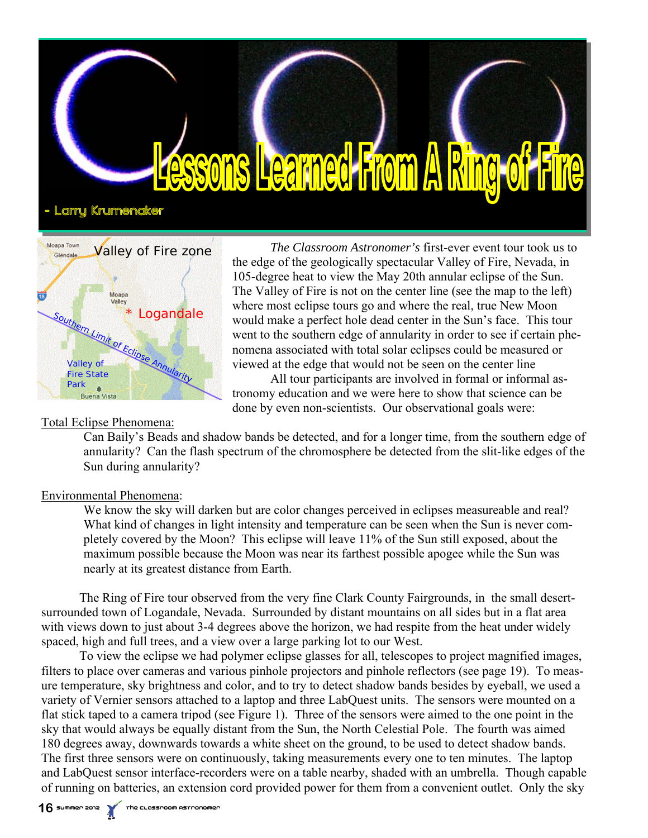



*The Classroom Astronomer's* first-ever event tour took us to the edge of the geologically spectacular Valley of Fire, Nevada, in 105-degree heat to view the May 20th annular eclipse of the Sun. The Valley of Fire is not on the center line (see the map to the left) where most eclipse tours go and where the real, true New Moon would make a perfect hole dead center in the Sun's face. This tour went to the southern edge of annularity in order to see if certain phenomena associated with total solar eclipses could be measured or viewed at the edge that would not be seen on the center line

 All tour participants are involved in formal or informal astronomy education and we were here to show that science can be done by even non-scientists. Our observational goals were:

### Total Eclipse Phenomena:

Can Baily's Beads and shadow bands be detected, and for a longer time, from the southern edge of annularity? Can the flash spectrum of the chromosphere be detected from the slit-like edges of the Sun during annularity?

## Environmental Phenomena:

We know the sky will darken but are color changes perceived in eclipses measureable and real? What kind of changes in light intensity and temperature can be seen when the Sun is never completely covered by the Moon? This eclipse will leave 11% of the Sun still exposed, about the maximum possible because the Moon was near its farthest possible apogee while the Sun was nearly at its greatest distance from Earth.

 The Ring of Fire tour observed from the very fine Clark County Fairgrounds, in the small desertsurrounded town of Logandale, Nevada. Surrounded by distant mountains on all sides but in a flat area with views down to just about 3-4 degrees above the horizon, we had respite from the heat under widely spaced, high and full trees, and a view over a large parking lot to our West.

 To view the eclipse we had polymer eclipse glasses for all, telescopes to project magnified images, filters to place over cameras and various pinhole projectors and pinhole reflectors (see page 19). To measure temperature, sky brightness and color, and to try to detect shadow bands besides by eyeball, we used a variety of Vernier sensors attached to a laptop and three LabQuest units. The sensors were mounted on a flat stick taped to a camera tripod (see Figure 1). Three of the sensors were aimed to the one point in the sky that would always be equally distant from the Sun, the North Celestial Pole. The fourth was aimed 180 degrees away, downwards towards a white sheet on the ground, to be used to detect shadow bands. The first three sensors were on continuously, taking measurements every one to ten minutes. The laptop and LabQuest sensor interface-recorders were on a table nearby, shaded with an umbrella. Though capable of running on batteries, an extension cord provided power for them from a convenient outlet. Only the sky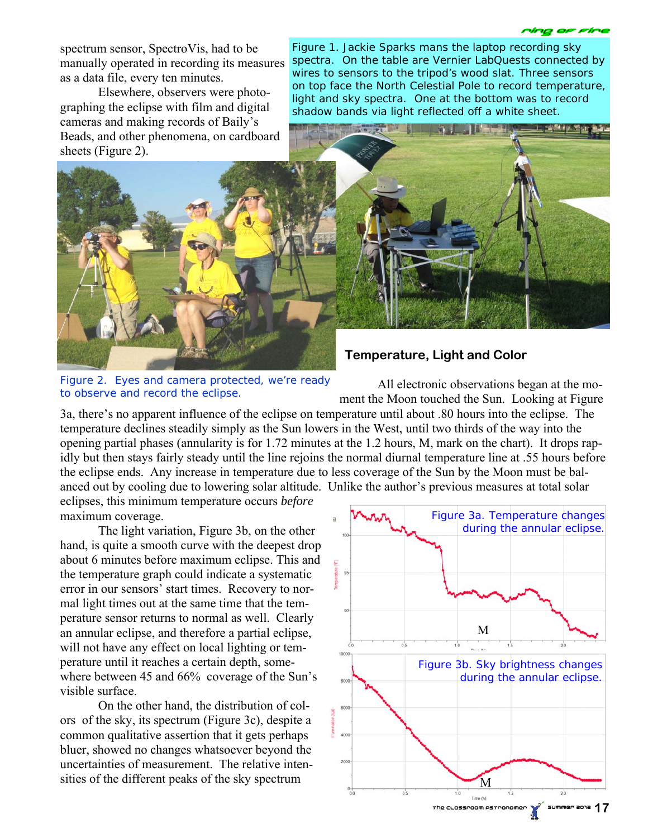spectrum sensor, SpectroVis, had to be manually operated in recording its measures as a data file, every ten minutes.

 Elsewhere, observers were photographing the eclipse with film and digital cameras and making records of Baily's Beads, and other phenomena, on cardboard sheets (Figure 2).

Figure 1. Jackie Sparks mans the laptop recording sky spectra. On the table are Vernier LabQuests connected by wires to sensors to the tripod's wood slat. Three sensors on top face the North Celestial Pole to record temperature, light and sky spectra. One at the bottom was to record shadow bands via light reflected off a white sheet.



 **Temperature, Light and Color** 

Figure 2. Eyes and camera protected, we're ready to observe and record the eclipse.

 All electronic observations began at the moment the Moon touched the Sun. Looking at Figure

3a, there's no apparent influence of the eclipse on temperature until about .80 hours into the eclipse. The temperature declines steadily simply as the Sun lowers in the West, until two thirds of the way into the opening partial phases (annularity is for 1.72 minutes at the 1.2 hours, M, mark on the chart). It drops rapidly but then stays fairly steady until the line rejoins the normal diurnal temperature line at .55 hours before the eclipse ends. Any increase in temperature due to less coverage of the Sun by the Moon must be balanced out by cooling due to lowering solar altitude. Unlike the author's previous measures at total solar

eclipses, this minimum temperature occurs *before* maximum coverage.

 The light variation, Figure 3b, on the other hand, is quite a smooth curve with the deepest drop about 6 minutes before maximum eclipse. This and the temperature graph could indicate a systematic error in our sensors' start times. Recovery to normal light times out at the same time that the temperature sensor returns to normal as well. Clearly an annular eclipse, and therefore a partial eclipse, will not have any effect on local lighting or temperature until it reaches a certain depth, somewhere between 45 and 66% coverage of the Sun's visible surface.

 On the other hand, the distribution of colors of the sky, its spectrum (Figure 3c), despite a common qualitative assertion that it gets perhaps bluer, showed no changes whatsoever beyond the uncertainties of measurement. The relative intensities of the different peaks of the sky spectrum

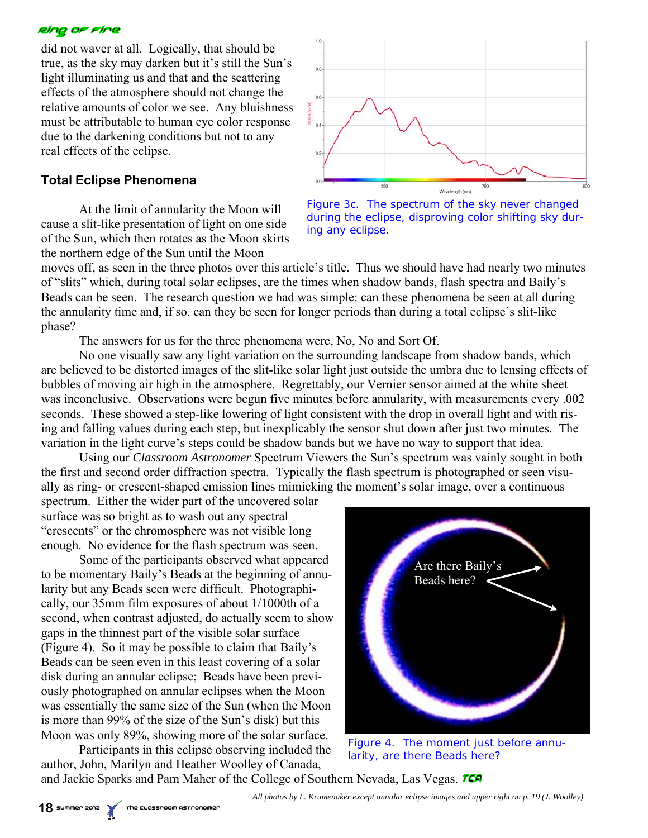#### elng or rine

did not waver at all. Logically, that should be true, as the sky may darken but it's still the Sun's light illuminating us and that and the scattering effects of the atmosphere should not change the relative amounts of color we see. Any bluishness must be attributable to human eye color response due to the darkening conditions but not to any real effects of the eclipse.

# **Total Eclipse Phenomena**

 At the limit of annularity the Moon will cause a slit-like presentation of light on one side of the Sun, which then rotates as the Moon skirts the northern edge of the Sun until the Moon

![](_page_2_Figure_4.jpeg)

Figure 3c. The spectrum of the sky never changed during the eclipse, disproving color shifting sky during any eclipse.

moves off, as seen in the three photos over this article's title. Thus we should have had nearly two minutes of "slits" which, during total solar eclipses, are the times when shadow bands, flash spectra and Baily's Beads can be seen. The research question we had was simple: can these phenomena be seen at all during the annularity time and, if so, can they be seen for longer periods than during a total eclipse's slit-like phase?

The answers for us for the three phenomena were, No, No and Sort Of.

 No one visually saw any light variation on the surrounding landscape from shadow bands, which are believed to be distorted images of the slit-like solar light just outside the umbra due to lensing effects of bubbles of moving air high in the atmosphere. Regrettably, our Vernier sensor aimed at the white sheet was inconclusive. Observations were begun five minutes before annularity, with measurements every .002 seconds. These showed a step-like lowering of light consistent with the drop in overall light and with rising and falling values during each step, but inexplicably the sensor shut down after just two minutes. The variation in the light curve's steps could be shadow bands but we have no way to support that idea.

 Using our *Classroom Astronomer* Spectrum Viewers the Sun's spectrum was vainly sought in both the first and second order diffraction spectra. Typically the flash spectrum is photographed or seen visually as ring- or crescent-shaped emission lines mimicking the moment's solar image, over a continuous spectrum. Either the wider part of the uncovered solar

surface was so bright as to wash out any spectral "crescents" or the chromosphere was not visible long enough. No evidence for the flash spectrum was seen.

 Some of the participants observed what appeared to be momentary Baily's Beads at the beginning of annularity but any Beads seen were difficult. Photographically, our 35mm film exposures of about 1/1000th of a second, when contrast adjusted, do actually seem to show gaps in the thinnest part of the visible solar surface (Figure 4). So it may be possible to claim that Baily's Beads can be seen even in this least covering of a solar disk during an annular eclipse; Beads have been previously photographed on annular eclipses when the Moon was essentially the same size of the Sun (when the Moon is more than 99% of the size of the Sun's disk) but this Moon was only 89%, showing more of the solar surface.

 Participants in this eclipse observing included the author, John, Marilyn and Heather Woolley of Canada,

![](_page_2_Picture_13.jpeg)

Figure 4. The moment just before annularity, are there Beads here?

and Jackie Sparks and Pam Maher of the College of Southern Nevada, Las Vegas. TCA